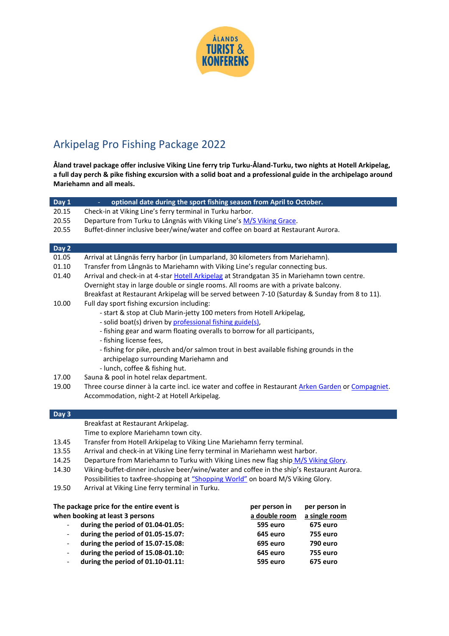

## Arkipelag Pro Fishing Package 2022

**Åland travel package offer inclusive Viking Line ferry trip Turku-Åland-Turku, two nights at Hotell Arkipelag, a full day perch & pike fishing excursion with a solid boat and a professional guide in the archipelago around Mariehamn and all meals.**

| Day 1<br>optional date during the sport fishing season from April to October. |                                                                                                                                                                     |                                                                               |               |  |
|-------------------------------------------------------------------------------|---------------------------------------------------------------------------------------------------------------------------------------------------------------------|-------------------------------------------------------------------------------|---------------|--|
| 20.15                                                                         | Check-in at Viking Line's ferry terminal in Turku harbor.                                                                                                           |                                                                               |               |  |
| 20.55                                                                         | Departure from Turku to Långnäs with Viking Line's M/S Viking Grace.                                                                                                |                                                                               |               |  |
| 20.55                                                                         | Buffet-dinner inclusive beer/wine/water and coffee on board at Restaurant Aurora.                                                                                   |                                                                               |               |  |
|                                                                               |                                                                                                                                                                     |                                                                               |               |  |
| Day 2                                                                         |                                                                                                                                                                     |                                                                               |               |  |
| 01.05                                                                         | Arrival at Långnäs ferry harbor (in Lumparland, 30 kilometers from Mariehamn).                                                                                      |                                                                               |               |  |
| 01.10                                                                         |                                                                                                                                                                     | Transfer from Långnäs to Mariehamn with Viking Line's regular connecting bus. |               |  |
| 01.40                                                                         | Arrival and check-in at 4-star Hotell Arkipelag at Strandgatan 35 in Mariehamn town centre.                                                                         |                                                                               |               |  |
|                                                                               | Overnight stay in large double or single rooms. All rooms are with a private balcony.                                                                               |                                                                               |               |  |
|                                                                               | Breakfast at Restaurant Arkipelag will be served between 7-10 (Saturday & Sunday from 8 to 11).                                                                     |                                                                               |               |  |
| 10.00                                                                         | Full day sport fishing excursion including:                                                                                                                         |                                                                               |               |  |
|                                                                               | - start & stop at Club Marin-jetty 100 meters from Hotell Arkipelag,                                                                                                |                                                                               |               |  |
|                                                                               | - solid boat(s) driven by professional fishing guide(s),                                                                                                            |                                                                               |               |  |
|                                                                               | - fishing gear and warm floating overalls to borrow for all participants,                                                                                           |                                                                               |               |  |
|                                                                               | - fishing license fees,                                                                                                                                             |                                                                               |               |  |
|                                                                               | - fishing for pike, perch and/or salmon trout in best available fishing grounds in the                                                                              |                                                                               |               |  |
|                                                                               | archipelago surrounding Mariehamn and                                                                                                                               |                                                                               |               |  |
|                                                                               | - lunch, coffee & fishing hut.                                                                                                                                      |                                                                               |               |  |
| 17.00                                                                         | Sauna & pool in hotel relax department.                                                                                                                             |                                                                               |               |  |
| 19.00                                                                         | Three course dinner à la carte incl. ice water and coffee in Restaurant Arken Garden or Compagniet.                                                                 |                                                                               |               |  |
|                                                                               | Accommodation, night-2 at Hotell Arkipelag.                                                                                                                         |                                                                               |               |  |
|                                                                               |                                                                                                                                                                     |                                                                               |               |  |
| Day 3                                                                         |                                                                                                                                                                     |                                                                               |               |  |
|                                                                               | Breakfast at Restaurant Arkipelag.                                                                                                                                  |                                                                               |               |  |
| 13.45                                                                         | Time to explore Mariehamn town city.                                                                                                                                |                                                                               |               |  |
|                                                                               | Transfer from Hotell Arkipelag to Viking Line Mariehamn ferry terminal.                                                                                             |                                                                               |               |  |
| 13.55<br>14.25                                                                | Arrival and check-in at Viking Line ferry terminal in Mariehamn west harbor.<br>Departure from Mariehamn to Turku with Viking Lines new flag ship M/S Viking Glory. |                                                                               |               |  |
|                                                                               |                                                                                                                                                                     |                                                                               |               |  |
| 14.30                                                                         | Viking-buffet-dinner inclusive beer/wine/water and coffee in the ship's Restaurant Aurora.                                                                          |                                                                               |               |  |
|                                                                               | Possibilities to taxfree-shopping at "Shopping World" on board M/S Viking Glory.                                                                                    |                                                                               |               |  |
| 19.50                                                                         | Arrival at Viking Line ferry terminal in Turku.                                                                                                                     |                                                                               |               |  |
| The package price for the entire event is<br>per person in<br>per person in   |                                                                                                                                                                     |                                                                               |               |  |
| when booking at least 3 persons                                               |                                                                                                                                                                     | a double room                                                                 | a single room |  |
| during the period of 01.04-01.05:                                             |                                                                                                                                                                     | 595 euro                                                                      | 675 euro      |  |
|                                                                               | during the period of 01.05-15.07:                                                                                                                                   | 645 euro                                                                      | 755 euro      |  |

- 
- 
- 
- **during the period of 15.07-15.08: 695 euro 790 euro** - **during the period of 15.08-01.10: 645 euro 755 euro**
- **during the period of 01.10-01.11: 595 euro 675 euro**